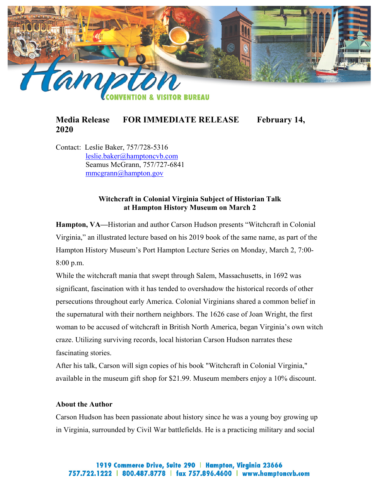

## **Media Release FOR IMMEDIATE RELEASE February 14, 2020**

Contact: Leslie Baker, 757/728-5316 [leslie.baker@hamptoncvb.com](mailto:leslie.baker@hamptoncvb.com) Seamus McGrann, 757/727-6841 [mmcgrann@hampton.gov](mailto:mmcgrann@hampton.gov)

## **Witchcraft in Colonial Virginia Subject of Historian Talk at Hampton History Museum on March 2**

Hampton, VA—Historian and author Carson Hudson presents "Witchcraft in Colonial Virginia," an illustrated lecture based on his 2019 book of the same name, as part of the Hampton History Museum's Port Hampton Lecture Series on Monday, March 2, 7:00- 8:00 p.m.

While the witchcraft mania that swept through Salem, Massachusetts, in 1692 was significant, fascination with it has tended to overshadow the historical records of other persecutions throughout early America. Colonial Virginians shared a common belief in the supernatural with their northern neighbors. The 1626 case of Joan Wright, the first woman to be accused of witchcraft in British North America, began Virginia's own witch craze. Utilizing surviving records, local historian Carson Hudson narrates these fascinating stories.

After his talk, Carson will sign copies of his book "Witchcraft in Colonial Virginia," available in the museum gift shop for \$21.99. Museum members enjoy a 10% discount.

## **About the Author**

Carson Hudson has been passionate about history since he was a young boy growing up in Virginia, surrounded by Civil War battlefields. He is a practicing military and social